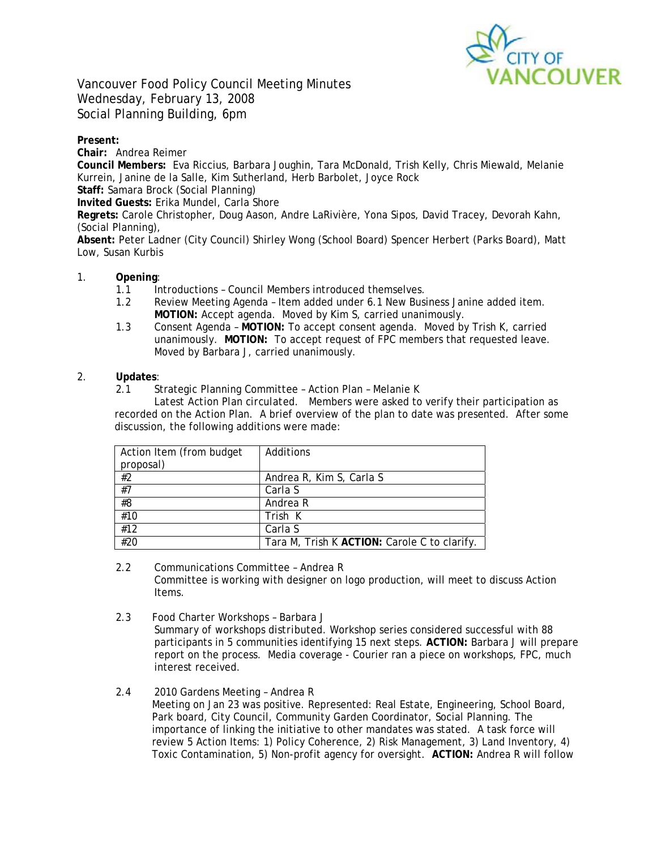

Vancouver Food Policy Council Meeting Minutes Wednesday, February 13, 2008 Social Planning Building, 6pm

## **Present:**

**Chair:** Andrea Reimer

**Council Members:** Eva Riccius, Barbara Joughin, Tara McDonald, Trish Kelly, Chris Miewald, Melanie Kurrein, Janine de la Salle, Kim Sutherland, Herb Barbolet, Joyce Rock

**Staff:** Samara Brock (Social Planning)

**Invited Guests:** Erika Mundel, Carla Shore

**Regrets:** Carole Christopher, Doug Aason, Andre LaRivière, Yona Sipos, David Tracey, Devorah Kahn, (Social Planning),

**Absent:** Peter Ladner (City Council) Shirley Wong (School Board) Spencer Herbert (Parks Board), Matt Low, Susan Kurbis

## 1. **Opening**:

- 1.1 Introductions Council Members introduced themselves.
- 1.2 Review Meeting Agenda Item added under 6.1 New Business Janine added item. **MOTION:** Accept agenda. Moved by Kim S, carried unanimously.
- 1.3 Consent Agenda **MOTION:** To accept consent agenda. Moved by Trish K, carried unanimously. **MOTION:** To accept request of FPC members that requested leave. Moved by Barbara J, carried unanimously.

### 2. **Updates**:

2.1 Strategic Planning Committee – Action Plan – Melanie K

*Latest Action Plan circulated.* Members were asked to verify their participation as recorded on the Action Plan. A brief overview of the plan to date was presented. After some discussion, the following additions were made:

| Action Item (from budget<br>proposal) | Additions                                    |
|---------------------------------------|----------------------------------------------|
| #2                                    | Andrea R, Kim S, Carla S                     |
| #7                                    | Carla S                                      |
| #8                                    | Andrea R                                     |
| #10                                   | Trish K                                      |
| #12                                   | Carla S                                      |
| #20                                   | Tara M, Trish K ACTION: Carole C to clarify. |

- 2.2 Communications Committee Andrea R Committee is working with designer on logo production, will meet to discuss Action Items.
- 2.3 Food Charter Workshops Barbara J *Summary of workshops distributed.* Workshop series considered successful with 88 participants in 5 communities identifying 15 next steps. **ACTION:** Barbara J will prepare report on the process. Media coverage - Courier ran a piece on workshops, FPC, much interest received.
- 2.4 2010 Gardens Meeting Andrea R Meeting on Jan 23 was positive. Represented: Real Estate, Engineering, School Board, Park board, City Council, Community Garden Coordinator, Social Planning. The importance of linking the initiative to other mandates was stated. A task force will review 5 Action Items: 1) Policy Coherence, 2) Risk Management, 3) Land Inventory, 4) Toxic Contamination, 5) Non-profit agency for oversight. **ACTION:** Andrea R will follow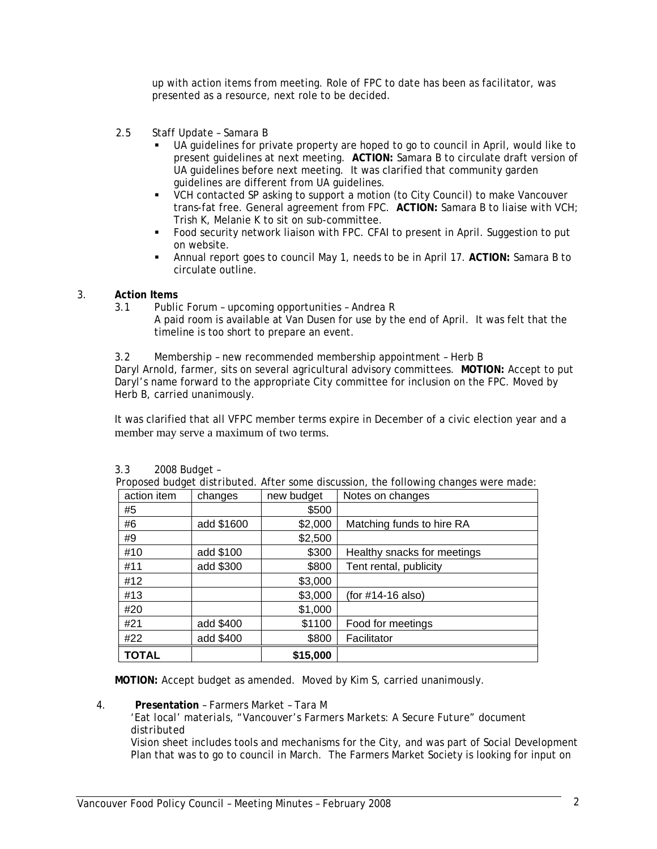up with action items from meeting. Role of FPC to date has been as facilitator, was presented as a resource, next role to be decided.

- 2.5 Staff Update Samara B
	- UA guidelines for private property are hoped to go to council in April, would like to present guidelines at next meeting. **ACTION:** Samara B to circulate draft version of UA guidelines before next meeting. It was clarified that community garden guidelines are different from UA guidelines.
	- VCH contacted SP asking to support a motion (to City Council) to make Vancouver trans-fat free. General agreement from FPC. **ACTION:** Samara B to liaise with VCH; Trish K, Melanie K to sit on sub-committee.
	- Food security network liaison with FPC. CFAI to present in April. Suggestion to put on website.
	- Annual report goes to council May 1, needs to be in April 17. **ACTION:** Samara B to circulate outline.

# 3. **Action Items**

- 3.1 Public Forum upcoming opportunities Andrea R
	- A paid room is available at Van Dusen for use by the end of April. It was felt that the timeline is too short to prepare an event.

3.2 Membership – new recommended membership appointment – Herb B

Daryl Arnold, farmer, sits on several agricultural advisory committees. **MOTION:** Accept to put Daryl's name forward to the appropriate City committee for inclusion on the FPC. Moved by Herb B, carried unanimously.

It was clarified that all VFPC member terms expire in December of a civic election year and a member may serve a maximum of two terms.

| <b>TOTAL</b>                                                                                |            | \$15,000   |                             |  |
|---------------------------------------------------------------------------------------------|------------|------------|-----------------------------|--|
| #22                                                                                         | add \$400  | \$800      | Facilitator                 |  |
| #21                                                                                         | add \$400  | \$1100     | Food for meetings           |  |
| #20                                                                                         |            | \$1,000    |                             |  |
| #13                                                                                         |            | \$3,000    | (for #14-16 also)           |  |
| #12                                                                                         |            | \$3,000    |                             |  |
| #11                                                                                         | add \$300  | \$800      | Tent rental, publicity      |  |
| #10                                                                                         | add \$100  | \$300      | Healthy snacks for meetings |  |
| #9                                                                                          |            | \$2,500    |                             |  |
| #6                                                                                          | add \$1600 | \$2,000    | Matching funds to hire RA   |  |
| #5                                                                                          |            | \$500      |                             |  |
| action item                                                                                 | changes    | new budget | Notes on changes            |  |
| <i>Proposed budget distributed.</i> After some discussion, the following changes were made: |            |            |                             |  |

| 3.3 | 2008 Budget - |
|-----|---------------|
|-----|---------------|

*Proposed budget distributed.* After some discussion, the following changes were made:

**MOTION:** Accept budget as amended. Moved by Kim S, carried unanimously.

*'Eat local' materials, "Vancouver's Farmers Markets: A Secure Future" document distributed* 

Vision sheet includes tools and mechanisms for the City, and was part of Social Development Plan that was to go to council in March. The Farmers Market Society is looking for input on

<sup>4.</sup> **Presentation** – Farmers Market – Tara M